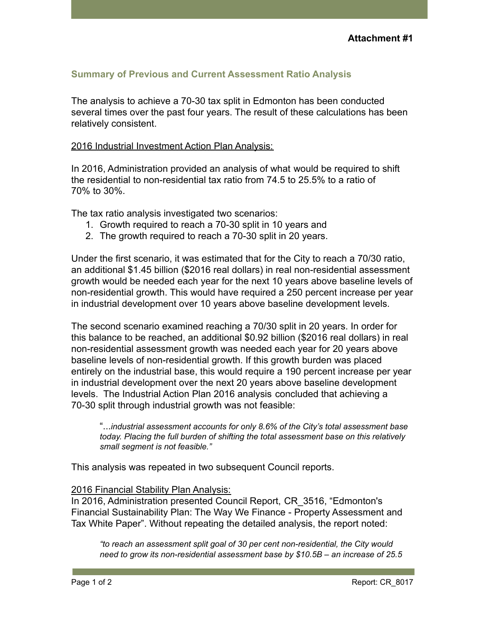# **Summary of Previous and Current Assessment Ratio Analysis**

The analysis to achieve a 70-30 tax split in Edmonton has been conducted several times over the past four years. The result of these calculations has been relatively consistent.

## 2016 Industrial Investment Action Plan Analysis:

In 2016, Administration provided an analysis of what would be required to shift the residential to non-residential tax ratio from 74.5 to 25.5% to a ratio of 70% to 30%.

The tax ratio analysis investigated two scenarios:

- 1. Growth required to reach a 70-30 split in 10 years and
- 2. The growth required to reach a 70-30 split in 20 years.

Under the first scenario, it was estimated that for the City to reach a 70/30 ratio, an additional \$1.45 billion (\$2016 real dollars) in real non-residential assessment growth would be needed each year for the next 10 years above baseline levels of non-residential growth. This would have required a 250 percent increase per year in industrial development over 10 years above baseline development levels.

The second scenario examined reaching a 70/30 split in 20 years. In order for this balance to be reached, an additional \$0.92 billion (\$2016 real dollars) in real non-residential assessment growth was needed each year for 20 years above baseline levels of non-residential growth. If this growth burden was placed entirely on the industrial base, this would require a 190 percent increase per year in industrial development over the next 20 years above baseline development levels. The Industrial Action Plan 2016 analysis concluded that achieving a 70-30 split through industrial growth was not feasible:

"...*industrial assessment accounts for only 8.6% of the City's total assessment base today. Placing the full burden of shifting the total assessment base on this relatively small segment is not feasible."*

This analysis was repeated in two subsequent Council reports.

#### 2016 Financial Stability Plan Analysis:

In 2016, Administration presented Council Report, CR\_3516, "Edmonton's Financial Sustainability Plan: The Way We Finance - Property Assessment and Tax White Paper". Without repeating the detailed analysis, the report noted:

*"to reach an assessment split goal of 30 per cent non-residential, the City would need to grow its non-residential assessment base by \$10.5B – an increase of 25.5*